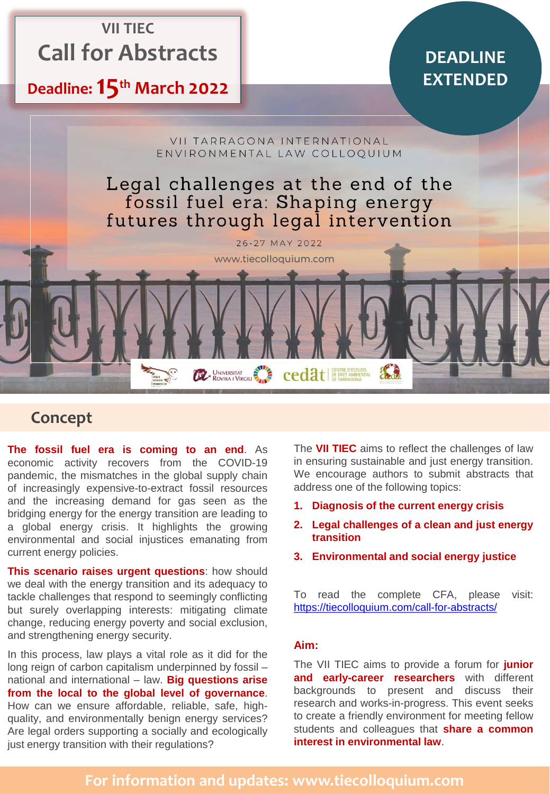# **VII TIEC Call for Abstracts**

# **Deadline: 15th March 2022**

# **DEADLINE EXTENDED**



# **Concept**

**The fossil fuel era is coming to an end**. As economic activity recovers from the COVID-19 pandemic, the mismatches in the global supply chain of increasingly expensive-to-extract fossil resources and the increasing demand for gas seen as the bridging energy for the energy transition are leading to a global energy crisis. It highlights the growing environmental and social injustices emanating from current energy policies.

**This scenario raises urgent questions**: how should we deal with the energy transition and its adequacy to tackle challenges that respond to seemingly conflicting but surely overlapping interests: mitigating climate change, reducing energy poverty and social exclusion, and strengthening energy security.

In this process, law plays a vital role as it did for the long reign of carbon capitalism underpinned by fossil – national and international – law. **Big questions arise from the local to the global level of governance**. How can we ensure affordable, reliable, safe, highquality, and environmentally benign energy services? Are legal orders supporting a socially and ecologically just energy transition with their regulations?

The **VII TIEC** aims to reflect the challenges of law in ensuring sustainable and just energy transition. We encourage authors to submit abstracts that address one of the following topics:

- **1. Diagnosis of the current energy crisis**
- **2. Legal challenges of a clean and just energy transition**
- **3. Environmental and social energy justice**

To read the complete CFA, please visit: <https://tiecolloquium.com/call-for-abstracts/>

#### **Aim:**

The VII TIEC aims to provide a forum for **junior and early-career researchers** with different backgrounds to present and discuss their research and works-in-progress. This event seeks to create a friendly environment for meeting fellow students and colleagues that **share a common interest in environmental law**.

### **For information and updates: www.tiecolloquium.com**